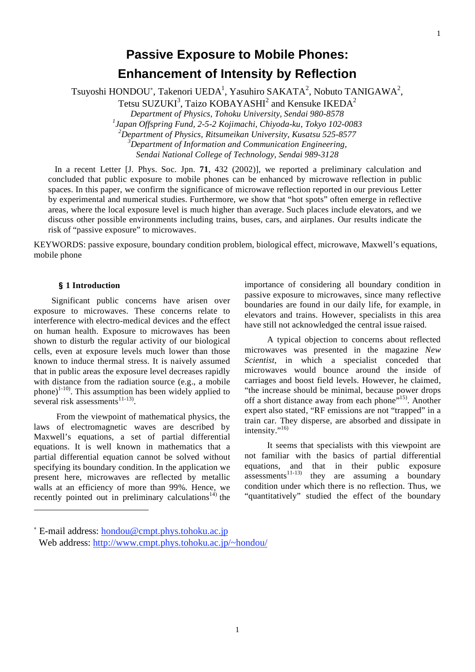# **Passive Exposure to Mobile Phones: Enhancement of Intensity by Reflection**

Tsuyoshi HONDOU\*, Takenori UEDA<sup>1</sup>, Yasuhiro SAKATA<sup>2</sup>, Nobuto TANIGAWA<sup>2</sup>,

Tetsu SUZUKI<sup>3</sup>, Taizo KOBAYASHI<sup>2</sup> and Kensuke IKEDA<sup>2</sup> *Department of Physics, Tohoku University, Sendai 980-8578 1 Japan Offspring Fund, 2-5-2 Kojimachi, Chiyoda-ku, Tokyo 102-0083 2 Department of Physics, Ritsumeikan University, Kusatsu 525-8577 3 Department of Information and Communication Engineering, Sendai National College of Technology, Sendai 989-3128*

 In a recent Letter [J. Phys. Soc. Jpn. **71**, 432 (2002)], we reported a preliminary calculation and concluded that public exposure to mobile phones can be enhanced by microwave reflection in public spaces. In this paper, we confirm the significance of microwave reflection reported in our previous Letter by experimental and numerical studies. Furthermore, we show that "hot spots" often emerge in reflective areas, where the local exposure level is much higher than average. Such places include elevators, and we discuss other possible environments including trains, buses, cars, and airplanes. Our results indicate the risk of "passive exposure" to microwaves.

KEYWORDS: passive exposure, boundary condition problem, biological effect, microwave, Maxwell's equations, mobile phone

# **1 Introduction**

 $\overline{a}$ 

Significant public concerns have arisen over exposure to microwaves. These concerns relate to interference with electro-medical devices and the effect on human health. Exposure to microwaves has been shown to disturb the regular activity of our biological cells, even at exposure levels much lower than those known to induce thermal stress. It is naively assumed that in public areas the exposure level decreases rapidly with distance from the radiation source (e.g., a mobile phone)<sup>1-10)</sup>. This assumption has been widely applied to several risk assessments $11-13$ .

From the viewpoint of mathematical physics, the laws of electromagnetic waves are described by Maxwell's equations, a set of partial differential equations. It is well known in mathematics that a partial differential equation cannot be solved without specifying its boundary condition. In the application we present here, microwaves are reflected by metallic walls at an efficiency of more than 99%. Hence, we recently pointed out in preliminary calculations $14$ ) the

importance of considering all boundary condition in passive exposure to microwaves, since many reflective boundaries are found in our daily life, for example, in elevators and trains. However, specialists in this area have still not acknowledged the central issue raised.

A typical objection to concerns about reflected microwaves was presented in the magazine *New Scientist*, in which a specialist conceded that microwaves would bounce around the inside of carriages and boost field levels. However, he claimed, "the increase should be minimal, because power drops off a short distance away from each phone<sup>"15)</sup>. Another expert also stated, "RF emissions are not "trapped" in a train car. They disperse, are absorbed and dissipate in intensity."<sup>16)</sup>

It seems that specialists with this viewpoint are not familiar with the basics of partial differential equations, and that in their public exposure  $\frac{1}{11-13}$  they are assuming a boundary condition under which there is no reflection. Thus, we "quantitatively" studied the effect of the boundary

<sup>\*</sup> E-mail address: hondou@cmpt.phys.tohoku.ac.jp Web address: http://www.cmpt.phys.tohoku.ac.jp/~hondou/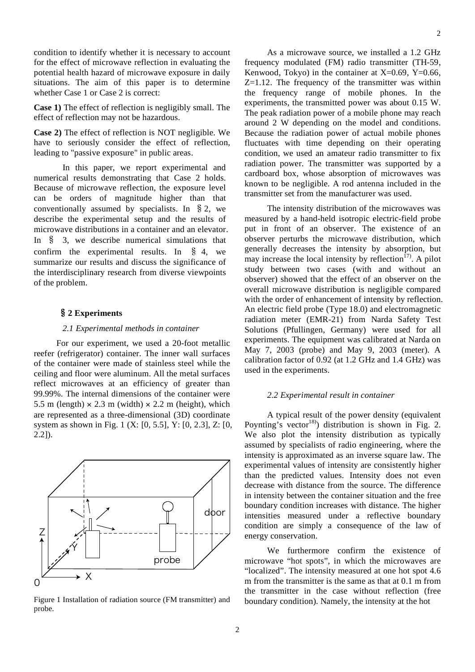condition to identify whether it is necessary to account for the effect of microwave reflection in evaluating the potential health hazard of microwave exposure in daily situations. The aim of this paper is to determine whether Case 1 or Case 2 is correct:

**Case 1)** The effect of reflection is negligibly small. The effect of reflection may not be hazardous.

**Case 2)** The effect of reflection is NOT negligible. We have to seriously consider the effect of reflection, leading to "passive exposure" in public areas.

 In this paper, we report experimental and numerical results demonstrating that Case 2 holds. Because of microwave reflection, the exposure level can be orders of magnitude higher than that conventionally assumed by specialists. In  $\S$  2, we describe the experimental setup and the results of microwave distributions in a container and an elevator. In  $\frac{1}{3}$ , we describe numerical simulations that confirm the experimental results. In  $\S$  4, we summarize our results and discuss the significance of the interdisciplinary research from diverse viewpoints of the problem.

#### **2 Experiments**

### *2.1 Experimental methods in container*

For our experiment, we used a 20-foot metallic reefer (refrigerator) container. The inner wall surfaces of the container were made of stainless steel while the ceiling and floor were aluminum. All the metal surfaces reflect microwaves at an efficiency of greater than 99.99%. The internal dimensions of the container were 5.5 m (length)  $\times$  2.3 m (width)  $\times$  2.2 m (height), which are represented as a three-dimensional (3D) coordinate system as shown in Fig. 1 (X: [0, 5.5], Y: [0, 2.3], Z: [0, 2.2]).



Figure 1 Installation of radiation source (FM transmitter) and probe.

As a microwave source, we installed a 1.2 GHz frequency modulated (FM) radio transmitter (TH-59, Kenwood, Tokyo) in the container at  $X=0.69$ ,  $Y=0.66$ , Z=1.12. The frequency of the transmitter was within the frequency range of mobile phones. In the experiments, the transmitted power was about 0.15 W. The peak radiation power of a mobile phone may reach around 2 W depending on the model and conditions. Because the radiation power of actual mobile phones fluctuates with time depending on their operating condition, we used an amateur radio transmitter to fix radiation power. The transmitter was supported by a cardboard box, whose absorption of microwaves was known to be negligible. A rod antenna included in the transmitter set from the manufacturer was used.

The intensity distribution of the microwaves was measured by a hand-held isotropic electric-field probe put in front of an observer. The existence of an observer perturbs the microwave distribution, which generally decreases the intensity by absorption, but may increase the local intensity by reflection<sup> $17$ </sup>. A pilot study between two cases (with and without an observer) showed that the effect of an observer on the overall microwave distribution is negligible compared with the order of enhancement of intensity by reflection. An electric field probe (Type 18.0) and electromagnetic radiation meter (EMR-21) from Narda Safety Test Solutions (Pfullingen, Germany) were used for all experiments. The equipment was calibrated at Narda on May 7, 2003 (probe) and May 9, 2003 (meter). A calibration factor of 0.92 (at 1.2 GHz and 1.4 GHz) was used in the experiments.

## *2.2 Experimental result in container*

A typical result of the power density (equivalent Poynting's vector<sup>18</sup>) distribution is shown in Fig. 2. We also plot the intensity distribution as typically assumed by specialists of radio engineering, where the intensity is approximated as an inverse square law. The experimental values of intensity are consistently higher than the predicted values. Intensity does not even decrease with distance from the source. The difference in intensity between the container situation and the free boundary condition increases with distance. The higher intensities measured under a reflective boundary condition are simply a consequence of the law of energy conservation.

We furthermore confirm the existence of microwave "hot spots", in which the microwaves are "localized". The intensity measured at one hot spot 4.6 m from the transmitter is the same as that at 0.1 m from the transmitter in the case without reflection (free boundary condition). Namely, the intensity at the hot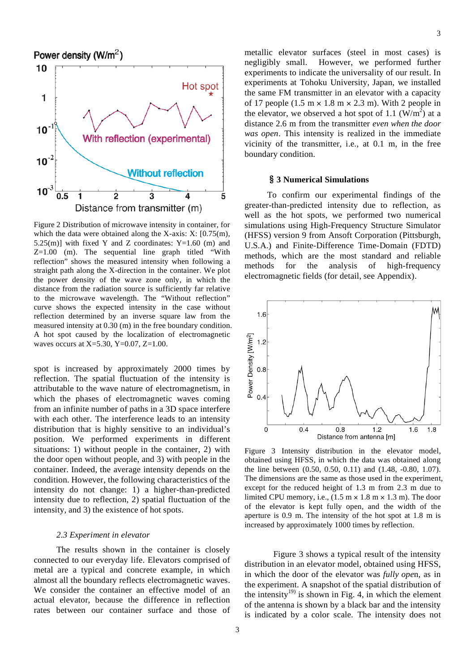

Figure 2 Distribution of microwave intensity in container, for which the data were obtained along the X-axis:  $X: [0.75(m),$ 5.25(m)] with fixed Y and Z coordinates:  $Y=1.60$  (m) and Z=1.00 (m). The sequential line graph titled "With reflection" shows the measured intensity when following a straight path along the X-direction in the container. We plot the power density of the wave zone only, in which the distance from the radiation source is sufficiently far relative to the microwave wavelength. The "Without reflection" curve shows the expected intensity in the case without reflection determined by an inverse square law from the measured intensity at 0.30 (m) in the free boundary condition. A hot spot caused by the localization of electromagnetic waves occurs at  $X=5.30$ ,  $Y=0.07$ ,  $Z=1.00$ .

spot is increased by approximately 2000 times by reflection. The spatial fluctuation of the intensity is attributable to the wave nature of electromagnetism, in which the phases of electromagnetic waves coming from an infinite number of paths in a 3D space interfere with each other. The interference leads to an intensity distribution that is highly sensitive to an individual's position. We performed experiments in different situations: 1) without people in the container, 2) with the door open without people, and 3) with people in the container. Indeed, the average intensity depends on the condition. However, the following characteristics of the intensity do not change: 1) a higher-than-predicted intensity due to reflection, 2) spatial fluctuation of the intensity, and 3) the existence of hot spots.

#### *2.3 Experiment in elevator*

The results shown in the container is closely connected to our everyday life. Elevators comprised of metal are a typical and concrete example, in which almost all the boundary reflects electromagnetic waves. We consider the container an effective model of an actual elevator, because the difference in reflection rates between our container surface and those of metallic elevator surfaces (steel in most cases) is negligibly small. However, we performed further experiments to indicate the universality of our result. In experiments at Tohoku University, Japan, we installed the same FM transmitter in an elevator with a capacity of 17 people  $(1.5 \text{ m} \times 1.8 \text{ m} \times 2.3 \text{ m})$ . With 2 people in the elevator, we observed a hot spot of 1.1  $(W/m<sup>2</sup>)$  at a distance 2.6 m from the transmitter *even when the door was open*. This intensity is realized in the immediate vicinity of the transmitter, i.e., at 0.1 m, in the free boundary condition.

# **3 Numerical Simulations**

To confirm our experimental findings of the greater-than-predicted intensity due to reflection, as well as the hot spots, we performed two numerical simulations using High-Frequency Structure Simulator (HFSS) version 9 from Ansoft Corporation (Pittsburgh, U.S.A.) and Finite-Difference Time-Domain (FDTD) methods, which are the most standard and reliable methods for the analysis of high-frequency electromagnetic fields (for detail, see Appendix).



Figure 3 Intensity distribution in the elevator model, obtained using HFSS, in which the data was obtained along the line between (0.50, 0.50, 0.11) and (1.48, -0.80, 1.07). The dimensions are the same as those used in the experiment, except for the reduced height of 1.3 m from 2.3 m due to limited CPU memory, i.e.,  $(1.5 \text{ m} \times 1.8 \text{ m} \times 1.3 \text{ m})$ . The door of the elevator is kept fully open, and the width of the aperture is 0.9 m. The intensity of the hot spot at 1.8 m is increased by approximately 1000 times by reflection.

Figure 3 shows a typical result of the intensity distribution in an elevator model, obtained using HFSS, in which the door of the elevator was *fully ope*n, as in the experiment. A snapshot of the spatial distribution of the intensity<sup>19)</sup> is shown in Fig. 4, in which the element of the antenna is shown by a black bar and the intensity is indicated by a color scale. The intensity does not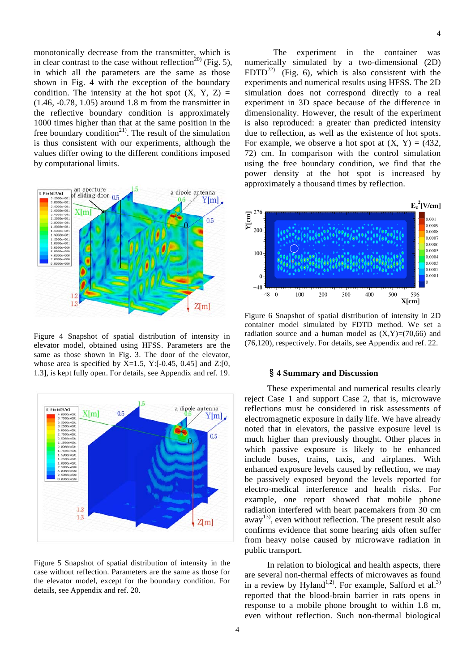monotonically decrease from the transmitter, which is in clear contrast to the case without reflection<sup>20)</sup> (Fig. 5), in which all the parameters are the same as those shown in Fig. 4 with the exception of the boundary condition. The intensity at the hot spot  $(X, Y, Z) =$ (1.46, -0.78, 1.05) around 1.8 m from the transmitter in the reflective boundary condition is approximately 1000 times higher than that at the same position in the free boundary condition<sup>21)</sup>. The result of the simulation is thus consistent with our experiments, although the values differ owing to the different conditions imposed by computational limits.



Figure 4 Snapshot of spatial distribution of intensity in elevator model, obtained using HFSS. Parameters are the same as those shown in Fig. 3. The door of the elevator, whose area is specified by  $X=1.5$ ,  $Y:[-0.45, 0.45]$  and  $Z:[0, 0.45]$ 1.3], is kept fully open. For details, see Appendix and ref. 19.



Figure 5 Snapshot of spatial distribution of intensity in the case without reflection. Parameters are the same as those for the elevator model, except for the boundary condition. For details, see Appendix and ref. 20.

The experiment in the container was numerically simulated by a two-dimensional (2D)  $FDTD^{22}$  (Fig. 6), which is also consistent with the experiments and numerical results using HFSS. The 2D simulation does not correspond directly to a real experiment in 3D space because of the difference in dimensionality. However, the result of the experiment is also reproduced: a greater than predicted intensity due to reflection, as well as the existence of hot spots. For example, we observe a hot spot at  $(X, Y) = (432,$ 72) cm. In comparison with the control simulation using the free boundary condition, we find that the power density at the hot spot is increased by



approximately a thousand times by reflection.

Figure 6 Snapshot of spatial distribution of intensity in 2D container model simulated by FDTD method. We set a radiation source and a human model as  $(X,Y)=(70,66)$  and (76,120), respectively. For details, see Appendix and ref. 22.

# **4 Summary and Discussion**

These experimental and numerical results clearly reject Case 1 and support Case 2, that is, microwave reflections must be considered in risk assessments of electromagnetic exposure in daily life. We have already noted that in elevators, the passive exposure level is much higher than previously thought. Other places in which passive exposure is likely to be enhanced include buses, trains, taxis, and airplanes. With enhanced exposure levels caused by reflection, we may be passively exposed beyond the levels reported for electro-medical interference and health risks. For example, one report showed that mobile phone radiation interfered with heart pacemakers from 30 cm away<sup>13</sup>, even without reflection. The present result also confirms evidence that some hearing aids often suffer from heavy noise caused by microwave radiation in public transport.

In relation to biological and health aspects, there are several non-thermal effects of microwaves as found in a review by Hyland<sup>1,2)</sup>. For example, Salford et al.<sup>3)</sup> reported that the blood-brain barrier in rats opens in response to a mobile phone brought to within 1.8 m, even without reflection. Such non-thermal biological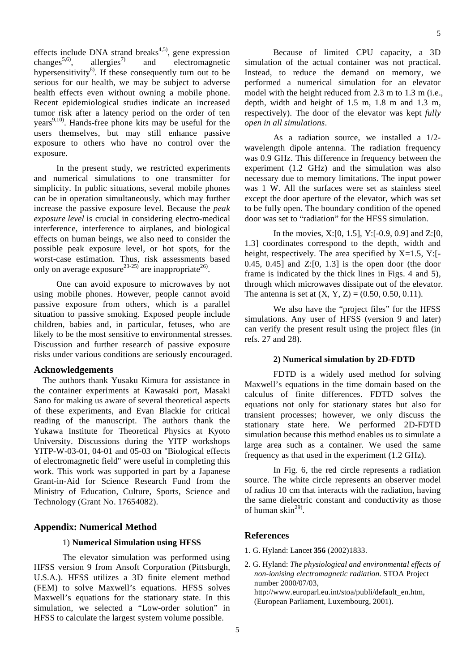effects include DNA strand breaks $4,5$ , gene expression changes<sup>5,6)</sup>, allergies<sup>7)</sup> and electromagnetic hypersensitivity $8$ . If these consequently turn out to be serious for our health, we may be subject to adverse health effects even without owning a mobile phone. Recent epidemiological studies indicate an increased tumor risk after a latency period on the order of ten  $years<sup>9,10)</sup>$ . Hands-free phone kits may be useful for the users themselves, but may still enhance passive exposure to others who have no control over the exposure.

In the present study, we restricted experiments and numerical simulations to one transmitter for simplicity. In public situations, several mobile phones can be in operation simultaneously, which may further increase the passive exposure level. Because the *peak exposure level* is crucial in considering electro-medical interference, interference to airplanes, and biological effects on human beings, we also need to consider the possible peak exposure level, or hot spots, for the worst-case estimation. Thus, risk assessments based only on average exposure<sup>23-25)</sup> are inappropriate<sup>26)</sup>.

One can avoid exposure to microwaves by not using mobile phones. However, people cannot avoid passive exposure from others, which is a parallel situation to passive smoking. Exposed people include children, babies and, in particular, fetuses, who are likely to be the most sensitive to environmental stresses. Discussion and further research of passive exposure risks under various conditions are seriously encouraged.

# **Acknowledgements**

The authors thank Yusaku Kimura for assistance in the container experiments at Kawasaki port, Masaki Sano for making us aware of several theoretical aspects of these experiments, and Evan Blackie for critical reading of the manuscript. The authors thank the Yukawa Institute for Theoretical Physics at Kyoto University. Discussions during the YITP workshops YITP-W-03-01, 04-01 and 05-03 on "Biological effects of electromagnetic field" were useful in completing this work. This work was supported in part by a Japanese Grant-in-Aid for Science Research Fund from the Ministry of Education, Culture, Sports, Science and Technology (Grant No. 17654082).

### **Appendix: Numerical Method**

## 1) **Numerical Simulation using HFSS**

The elevator simulation was performed using HFSS version 9 from Ansoft Corporation (Pittsburgh, U.S.A.). HFSS utilizes a 3D finite element method (FEM) to solve Maxwell's equations. HFSS solves Maxwell's equations for the stationary state. In this simulation, we selected a "Low-order solution" in HFSS to calculate the largest system volume possible.

Because of limited CPU capacity, a 3D simulation of the actual container was not practical. Instead, to reduce the demand on memory, we performed a numerical simulation for an elevator model with the height reduced from 2.3 m to 1.3 m (i.e., depth, width and height of 1.5 m, 1.8 m and 1.3 m, respectively). The door of the elevator was kept *fully open in all simulations*.

As a radiation source, we installed a 1/2 wavelength dipole antenna. The radiation frequency was 0.9 GHz. This difference in frequency between the experiment (1.2 GHz) and the simulation was also necessary due to memory limitations. The input power was 1 W. All the surfaces were set as stainless steel except the door aperture of the elevator, which was set to be fully open*.* The boundary condition of the opened door was set to "radiation" for the HFSS simulation.

In the movies, X:[0, 1.5], Y:[-0.9, 0.9] and Z:[0, 1.3] coordinates correspond to the depth, width and height, respectively. The area specified by  $X=1.5$ , Y:[-0.45, 0.45] and Z:[0, 1.3] is the open door (the door frame is indicated by the thick lines in Figs. 4 and 5), through which microwaves dissipate out of the elevator. The antenna is set at  $(X, Y, Z) = (0.50, 0.50, 0.11)$ .

We also have the "project files" for the HFSS simulations. Any user of HFSS (version 9 and later) can verify the present result using the project files (in refs. 27 and 28).

# **2) Numerical simulation by 2D-FDTD**

FDTD is a widely used method for solving Maxwell's equations in the time domain based on the calculus of finite differences. FDTD solves the equations not only for stationary states but also for transient processes; however, we only discuss the stationary state here. We performed 2D-FDTD simulation because this method enables us to simulate a large area such as a container. We used the same frequency as that used in the experiment (1.2 GHz).

In Fig. 6, the red circle represents a radiation source. The white circle represents an observer model of radius 10 cm that interacts with the radiation, having the same dielectric constant and conductivity as those of human skin<sup>29)</sup>.

# **References**

- 1. G. Hyland: Lancet **356** (2002)1833.
- 2. G. Hyland: *The physiological and environmental effects of non-ionising electromagnetic radiation.* STOA Project number 2000/07/03, http://www.europarl.eu.int/stoa/publi/default\_en.htm, (European Parliament, Luxembourg, 2001).